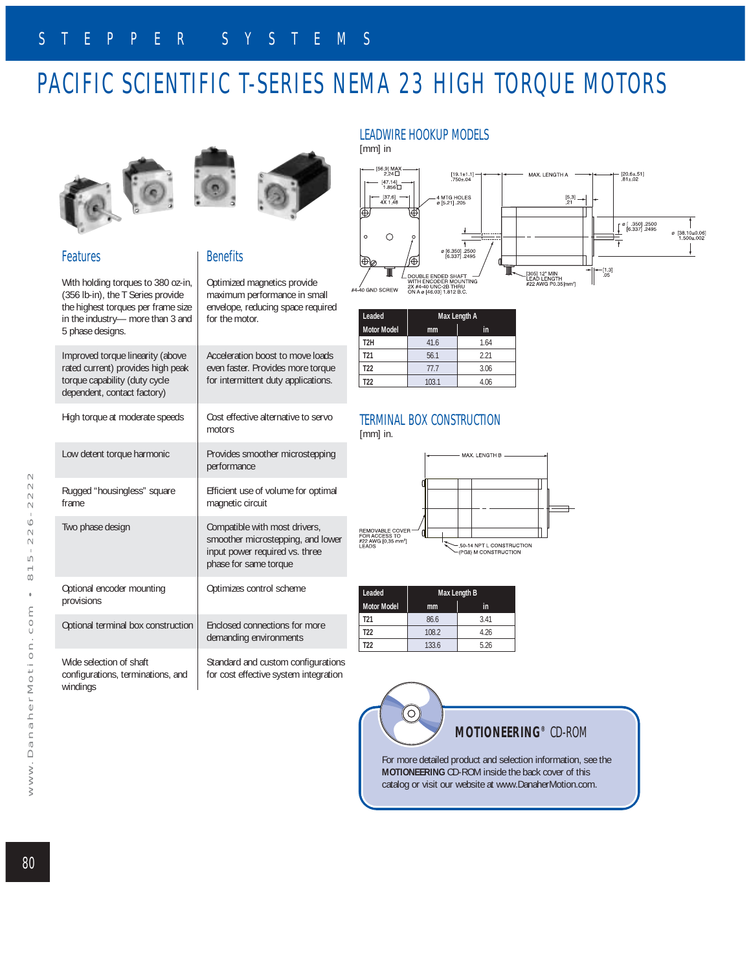# PACIFIC SCIENTIFIC T-SERIES NEMA 23 HIGH TORQUE MOTORS



#### Features

With holding torques to 380 oz-in, (356 lb-in), the T Series provide the highest torques per frame size in the industry— more than 3 and 5 phase designs.

Improved torque linearity (above rated current) provides high peak torque capability (duty cycle

| LATEU CUITEIIT) DI OVIUES TIIUIT DEAN<br>torque capability (duty cycle<br>dependent, contact factory) | <b>EVEIT INSIEL. PLOVIDES THULE TOI QUE</b><br>for intermittent duty applications.                                            |
|-------------------------------------------------------------------------------------------------------|-------------------------------------------------------------------------------------------------------------------------------|
| High torque at moderate speeds                                                                        | Cost effective alternative to servo<br>motors                                                                                 |
| Low detent torque harmonic                                                                            | Provides smoother microstepping<br>performance                                                                                |
| Rugged "housingless" square<br>frame                                                                  | Efficient use of volume for optimal<br>magnetic circuit                                                                       |
| Two phase design                                                                                      | Compatible with most drivers,<br>smoother microstepping, and lower<br>input power required vs. three<br>phase for same torque |
| Optional encoder mounting<br>provisions                                                               | Optimizes control scheme                                                                                                      |
| Optional terminal box construction                                                                    | Enclosed connections for more<br>demanding environments                                                                       |
| Wide selection of shaft<br>configurations, terminations, and<br>windings                              | Standard and custom configurations<br>for cost effective system integration                                                   |



### **Benefits**

Optimized magnetics provide maximum performance in small envelope, reducing space required for the motor.

Acceleration boost to move loads even faster. Provides more torque

## LEADWIRE HOOKUP MODELS

[mm] in



| Leaded             | Max Length A |      |  |  |  |  |
|--------------------|--------------|------|--|--|--|--|
| <b>Motor Model</b> | mm           | in   |  |  |  |  |
| T <sub>2</sub> H   | 41.6         | 1.64 |  |  |  |  |
| T <sub>21</sub>    | 56.1         | 221  |  |  |  |  |
| T <sub>22</sub>    | 77.7         | 3.06 |  |  |  |  |
| T22                | 103.1        | 4.06 |  |  |  |  |

### TERMINAL BOX CONSTRUCTION

[mm] in.



| Leaded             | Max Length B |      |  |  |  |
|--------------------|--------------|------|--|--|--|
| <b>Motor Model</b> | mm           | in   |  |  |  |
| T <sub>21</sub>    | 86.6         | 341  |  |  |  |
| T <sub>22</sub>    | 108.2        | 4.26 |  |  |  |
| T22                | 133.6        | 5.26 |  |  |  |

O,

### **MOTIONEERING®** CD-ROM

For more detailed product and selection information, see the **MOTIONEERING** CD-ROM inside the back cover of this catalog or visit our website at www.DanaherMotion.com.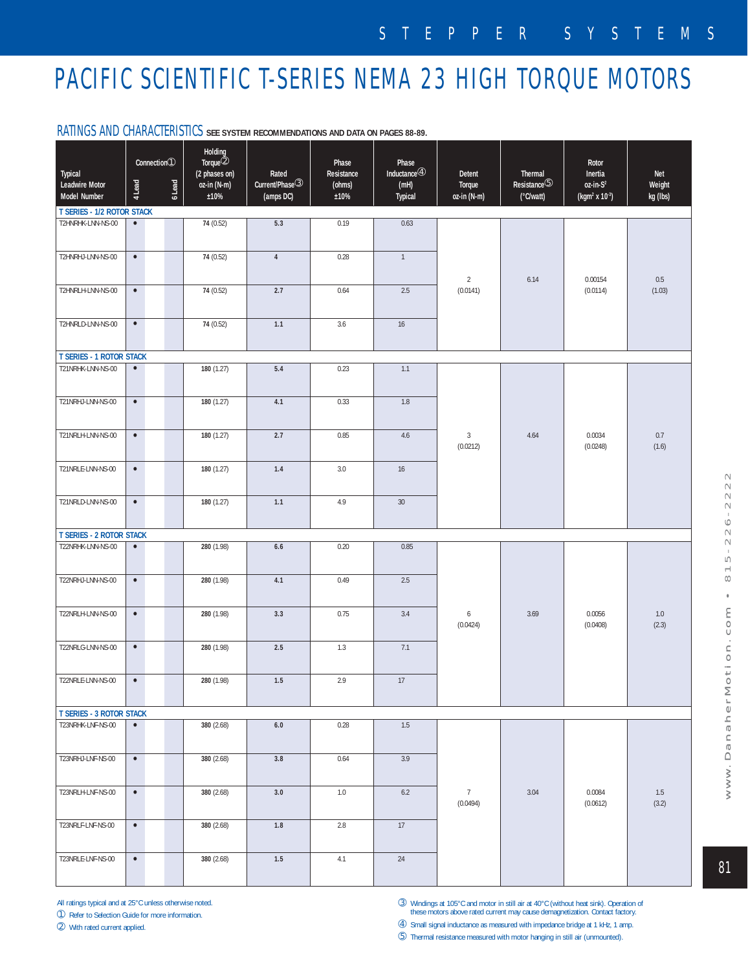# PACIFIC SCIENTIFIC T-SERIES NEMA 23 HIGH TORQUE MOTORS

| Typical<br><b>Leadwire Motor</b><br>Model Number | 4 Lead                            | Connection①<br>6 Lead | <b>Holding</b><br>Torque <sup>2</sup><br>(2 phases on)<br>oz-in (N-m)<br>±10% | Rated<br>Current/Phase <sup>3</sup><br>(amps DC) | Phase<br>Resistance<br>(ohms)<br>±10% | Phase<br>Inductance $@$<br>(mH)<br>Typical | Detent<br>Torque<br>oz-in (N-m) | Thermal<br>$Resistance$ <sup>5</sup><br>(°C/watt) | Rotor<br>Inertia<br>$oz-in-S2$<br>(kgm <sup>2</sup> x 10 <sup>-3</sup> ) | Net<br>Weight<br>kg (lbs) |
|--------------------------------------------------|-----------------------------------|-----------------------|-------------------------------------------------------------------------------|--------------------------------------------------|---------------------------------------|--------------------------------------------|---------------------------------|---------------------------------------------------|--------------------------------------------------------------------------|---------------------------|
|                                                  | <b>T SERIES - 1/2 ROTOR STACK</b> |                       |                                                                               |                                                  |                                       |                                            |                                 |                                                   |                                                                          |                           |
| T2HNRHK-LNN-NS-00                                | $\bullet$                         |                       | 74 (0.52)                                                                     | 5.3                                              | 0.19                                  | 0.63                                       | $\overline{2}$<br>(0.0141)      | 6.14                                              | 0.00154<br>(0.0114)                                                      | 0.5<br>(1.03)             |
| T2HNRHJ-LNN-NS-00                                | $\bullet$                         |                       | 74 (0.52)                                                                     | $\sqrt{4}$                                       | 0.28                                  | $\mathbf{1}$                               |                                 |                                                   |                                                                          |                           |
| T2HNRLH-LNN-NS-00                                | $\bullet$                         |                       | 74 (0.52)                                                                     | 2.7                                              | 0.64                                  | 2.5                                        |                                 |                                                   |                                                                          |                           |
| T2HNRLD-LNN-NS-00                                | $\bullet$                         |                       | 74 (0.52)                                                                     | 1.1                                              | 3.6                                   | $16\,$                                     |                                 |                                                   |                                                                          |                           |
| <b>T SERIES - 1 ROTOR STACK</b>                  |                                   |                       |                                                                               |                                                  |                                       |                                            |                                 |                                                   |                                                                          |                           |
| T21NRHK-LNN-NS-00                                | $\bullet$                         |                       | 180 (1.27)                                                                    | $5.4\,$                                          | 0.23                                  | 1.1                                        | 3<br>(0.0212)                   | 4.64                                              | 0.0034<br>(0.0248)                                                       | 0.7<br>(1.6)              |
| T21NRHJ-LNN-NS-00                                | $\bullet$                         |                       | 180 (1.27)                                                                    | 4.1                                              | 0.33                                  | 1.8                                        |                                 |                                                   |                                                                          |                           |
| T21NRLH-LNN-NS-00                                | $\bullet$                         |                       | 180 (1.27)                                                                    | 2.7                                              | 0.85                                  | 4.6                                        |                                 |                                                   |                                                                          |                           |
| T21NRLE-LNN-NS-00                                | $\bullet$                         |                       | 180 (1.27)                                                                    | 1.4                                              | 3.0                                   | 16                                         |                                 |                                                   |                                                                          |                           |
| T21NRLD-LNN-NS-00                                | $\bullet$                         |                       | 180 (1.27)                                                                    | 1.1                                              | 4.9                                   | $30\,$                                     |                                 |                                                   |                                                                          |                           |
| <b>T SERIES - 2 ROTOR STACK</b>                  |                                   |                       |                                                                               |                                                  |                                       |                                            |                                 |                                                   |                                                                          |                           |
| T22NRHK-LNN-NS-00                                | $\bullet$                         |                       | 280 (1.98)                                                                    | $6.6\,$                                          | 0.20                                  | 0.85                                       |                                 | 3.69                                              | 0.0056<br>(0.0408)                                                       | 1.0<br>(2.3)              |
| T22NRHJ-LNN-NS-00                                | $\bullet$                         |                       | 280 (1.98)                                                                    | 4.1                                              | 0.49                                  | 2.5                                        |                                 |                                                   |                                                                          |                           |
| T22NRLH-LNN-NS-00                                | $\bullet$                         |                       | 280 (1.98)                                                                    | 3.3                                              | 0.75                                  | 3.4                                        | 6<br>(0.0424)                   |                                                   |                                                                          |                           |
| T22NRLG-LNN-NS-00                                | $\bullet$                         |                       | 280 (1.98)                                                                    | 2.5                                              | 1.3                                   | 7.1                                        |                                 |                                                   |                                                                          |                           |
| T22NRLE-LNN-NS-00                                | $\bullet$                         |                       | 280 (1.98)                                                                    | 1.5                                              | 2.9                                   | 17                                         |                                 |                                                   |                                                                          |                           |
| <b>T SERIES - 3 ROTOR STACK</b>                  |                                   |                       |                                                                               |                                                  |                                       |                                            |                                 |                                                   |                                                                          |                           |
| T23NRHK-LNF-NS-00                                | $\bullet$                         |                       | 380 (2.68)                                                                    | $6.0\,$                                          | 0.28                                  | 1.5                                        | 7<br>(0.0494)                   | 3.04                                              | 0.0084<br>(0.0612)                                                       | 1.5<br>(3.2)              |
| T23NRHJ-LNF-NS-00                                | $\bullet$                         |                       | 380 (2.68)                                                                    | $3.8\,$                                          | 0.64                                  | 3.9                                        |                                 |                                                   |                                                                          |                           |
| T23NRLH-LNF-NS-00                                | $\bullet$                         |                       | 380 (2.68)                                                                    | 3.0                                              | 1.0                                   | 6.2                                        |                                 |                                                   |                                                                          |                           |
| T23NRLF-LNF-NS-00                                | $\bullet$                         |                       | 380 (2.68)                                                                    | 1.8                                              | 2.8                                   | 17                                         |                                 |                                                   |                                                                          |                           |
| T23NRLE-LNF-NS-00                                | $\bullet$                         |                       | 380 (2.68)                                                                    | 1.5                                              | 4.1                                   | 24                                         |                                 |                                                   |                                                                          |                           |

#### RATINGS AND CHARACTERISTICS **SEE SYSTEM RECOMMENDATIONS AND DATA ON PAGES 88-89.**

All ratings typical and at 25°C unless otherwise noted.

➀ Refer to Selection Guide for more information.

➁ With rated current applied.

➂ Windings at 105°C and motor in still air at 40°C (without heat sink). Operation of these motors above rated current may cause demagnetization. Contact factory.

➃ Small signal inductance as measured with impedance bridge at 1 kHz, 1 amp. ➄ Thermal resistance measured with motor hanging in still air (unmounted).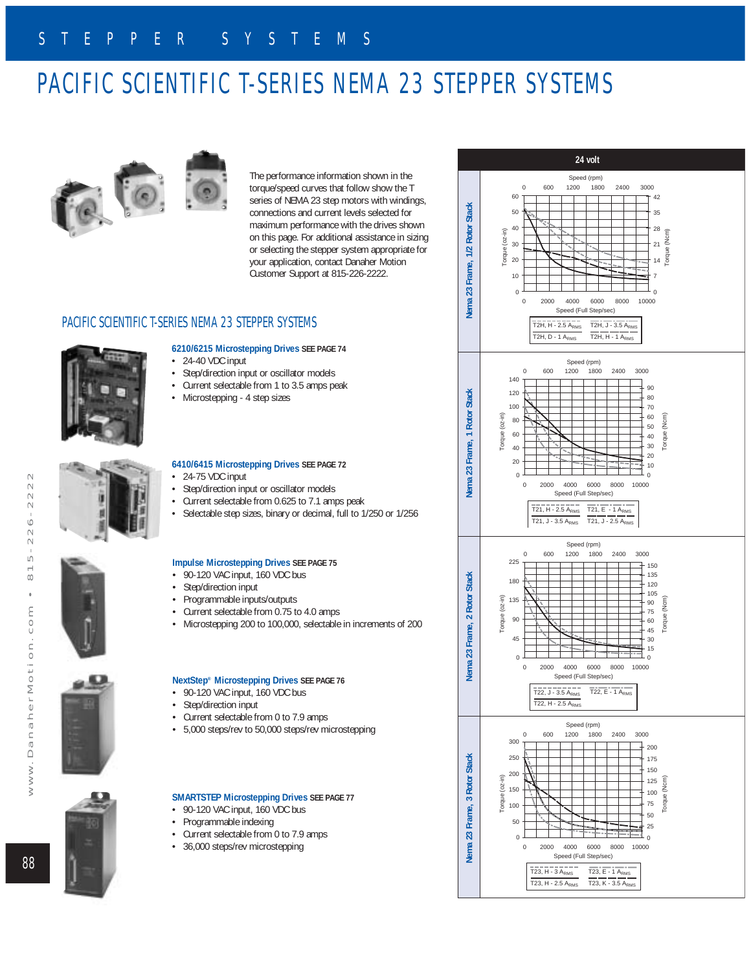# PACIFIC SCIENTIFIC T-SERIES NEMA 23 STEPPER SYSTEMS



The performance information shown in the torque/speed curves that follow show the T series of NEMA 23 step motors with windings, connections and current levels selected for maximum performance with the drives shown on this page. For additional assistance in sizing or selecting the stepper system appropriate for your application, contact Danaher Motion Customer Support at 815-226-2222.

#### PACIFIC SCIENTIFIC T-SERIES NEMA 23 STEPPER SYSTEMS



### **6210/6215 Microstepping Drives SEE PAGE 74**

- $\cdot$  24-40 VDC input
- Step/direction input or oscillator models
- Current selectable from 1 to 3.5 amps peak
- Microstepping 4 step sizes



#### **6410/6415 Microstepping Drives SEE PAGE 72** • 24-75 VDC input

- Step/direction input or oscillator models
- Current selectable from 0.625 to 7.1 amps peak
- Selectable step sizes, binary or decimal, full to 1/250 or 1/256

#### **Impulse Microstepping Drives SEE PAGE 75**

- 90-120 VAC input, 160 VDC bus
- Step/direction input
- Programmable inputs/outputs<br>• Current selectable from 0.75 to
- Current selectable from 0.75 to 4.0 amps
- Microstepping 200 to 100,000, selectable in increments of 200

#### **NextStep® Microstepping Drives SEE PAGE 76**

- 90-120 VAC input, 160 VDC bus
- Step/direction input
- Current selectable from 0 to 7.9 amps
- 5,000 steps/rev to 50,000 steps/rev microstepping

#### **SMARTSTEP Microstepping Drives SEE PAGE 77**

- 90-120 VAC input, 160 VDC bus
- Programmable indexing
- Current selectable from 0 to 7.9 amps
- 36,000 steps/rev microstepping



## 88

 $\geq$ 

 $\geq$ 

 $\geq$ 

www.DanaherMotion.com • 815-226-2222

 $\ddot{\phantom{a}}$ 

 $\epsilon$ 

 $\subset$  $\smash{\smash{\cup}}$  $\equiv$  $\subset$  $\overline{0}$  +  $\overline{1}$  $\overline{M}$  $\mathbb C$  $\equiv$  $\mathbb{C}$  $\equiv$  $\sigma$  $\Box$ 

 $\sim$  $-22$  $\sim$  $\sim$  $\sim$  $\overline{a}$  $\overline{\phantom{0}}$  $\infty$